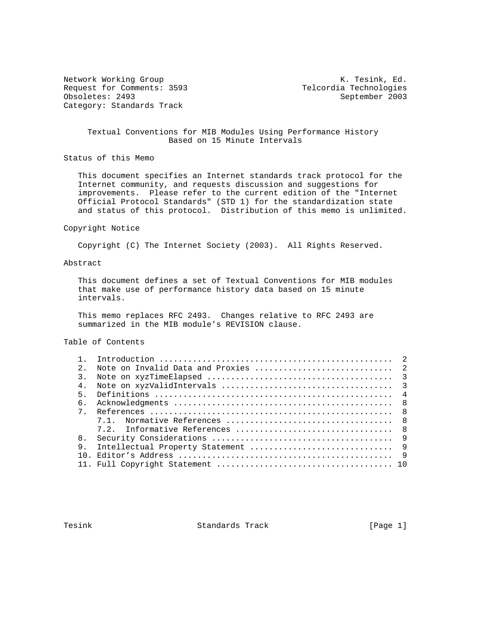Request for Comments: 3593 Telcordia Technologies<br>
Obsoletes: 2493 September 2003 Obsoletes: 2493 Category: Standards Track

Network Working Group Network Working Group Network K. Tesink, Ed.

## Textual Conventions for MIB Modules Using Performance History Based on 15 Minute Intervals

Status of this Memo

 This document specifies an Internet standards track protocol for the Internet community, and requests discussion and suggestions for improvements. Please refer to the current edition of the "Internet Official Protocol Standards" (STD 1) for the standardization state and status of this protocol. Distribution of this memo is unlimited.

#### Copyright Notice

Copyright (C) The Internet Society (2003). All Rights Reserved.

## Abstract

 This document defines a set of Textual Conventions for MIB modules that make use of performance history data based on 15 minute intervals.

 This memo replaces RFC 2493. Changes relative to RFC 2493 are summarized in the MIB module's REVISION clause.

# Table of Contents

| $2^{\circ}$    |  |
|----------------|--|
| 3.             |  |
| 4.             |  |
| 5.             |  |
| 6.             |  |
| $7^{\circ}$    |  |
|                |  |
|                |  |
| 8 <sub>1</sub> |  |
| 9.             |  |
|                |  |
|                |  |

Tesink **Standards Track** [Page 1]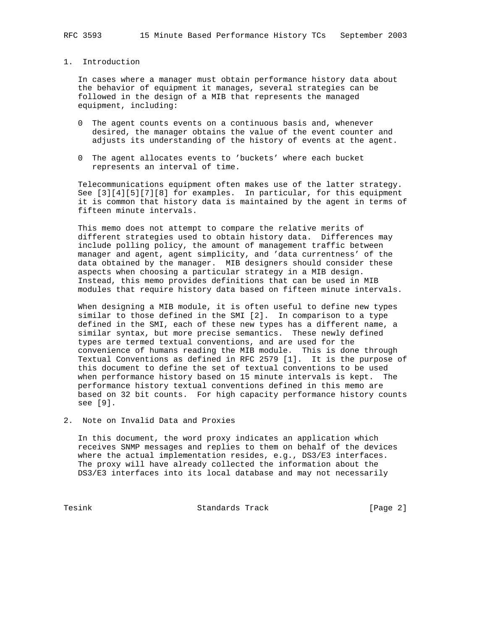## 1. Introduction

 In cases where a manager must obtain performance history data about the behavior of equipment it manages, several strategies can be followed in the design of a MIB that represents the managed equipment, including:

- 0 The agent counts events on a continuous basis and, whenever desired, the manager obtains the value of the event counter and adjusts its understanding of the history of events at the agent.
- 0 The agent allocates events to 'buckets' where each bucket represents an interval of time.

 Telecommunications equipment often makes use of the latter strategy. See [3][4][5][7][8] for examples. In particular, for this equipment it is common that history data is maintained by the agent in terms of fifteen minute intervals.

 This memo does not attempt to compare the relative merits of different strategies used to obtain history data. Differences may include polling policy, the amount of management traffic between manager and agent, agent simplicity, and 'data currentness' of the data obtained by the manager. MIB designers should consider these aspects when choosing a particular strategy in a MIB design. Instead, this memo provides definitions that can be used in MIB modules that require history data based on fifteen minute intervals.

 When designing a MIB module, it is often useful to define new types similar to those defined in the SMI [2]. In comparison to a type defined in the SMI, each of these new types has a different name, a similar syntax, but more precise semantics. These newly defined types are termed textual conventions, and are used for the convenience of humans reading the MIB module. This is done through Textual Conventions as defined in RFC 2579 [1]. It is the purpose of this document to define the set of textual conventions to be used when performance history based on 15 minute intervals is kept. The performance history textual conventions defined in this memo are based on 32 bit counts. For high capacity performance history counts see [9].

2. Note on Invalid Data and Proxies

 In this document, the word proxy indicates an application which receives SNMP messages and replies to them on behalf of the devices where the actual implementation resides, e.g., DS3/E3 interfaces. The proxy will have already collected the information about the DS3/E3 interfaces into its local database and may not necessarily

Tesink **Standards Track** [Page 2]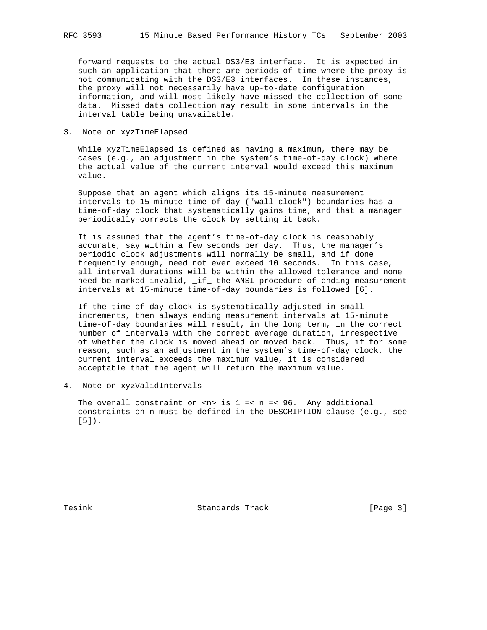forward requests to the actual DS3/E3 interface. It is expected in such an application that there are periods of time where the proxy is not communicating with the DS3/E3 interfaces. In these instances, the proxy will not necessarily have up-to-date configuration information, and will most likely have missed the collection of some data. Missed data collection may result in some intervals in the interval table being unavailable.

3. Note on xyzTimeElapsed

 While xyzTimeElapsed is defined as having a maximum, there may be cases (e.g., an adjustment in the system's time-of-day clock) where the actual value of the current interval would exceed this maximum value.

 Suppose that an agent which aligns its 15-minute measurement intervals to 15-minute time-of-day ("wall clock") boundaries has a time-of-day clock that systematically gains time, and that a manager periodically corrects the clock by setting it back.

 It is assumed that the agent's time-of-day clock is reasonably accurate, say within a few seconds per day. Thus, the manager's periodic clock adjustments will normally be small, and if done frequently enough, need not ever exceed 10 seconds. In this case, all interval durations will be within the allowed tolerance and none need be marked invalid, \_if\_ the ANSI procedure of ending measurement intervals at 15-minute time-of-day boundaries is followed [6].

 If the time-of-day clock is systematically adjusted in small increments, then always ending measurement intervals at 15-minute time-of-day boundaries will result, in the long term, in the correct number of intervals with the correct average duration, irrespective of whether the clock is moved ahead or moved back. Thus, if for some reason, such as an adjustment in the system's time-of-day clock, the current interval exceeds the maximum value, it is considered acceptable that the agent will return the maximum value.

4. Note on xyzValidIntervals

The overall constraint on  $\langle n \rangle$  is  $1 \leq n \leq 96$ . Any additional constraints on n must be defined in the DESCRIPTION clause (e.g., see [5]).

Tesink **Standards Track** [Page 3]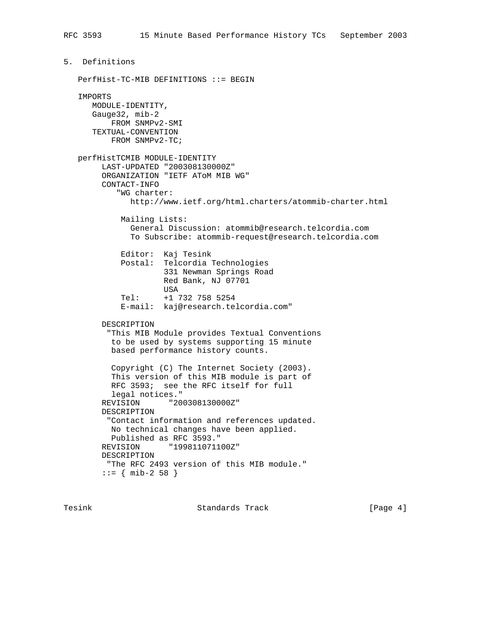```
 PerfHist-TC-MIB DEFINITIONS ::= BEGIN
 IMPORTS
   MODULE-IDENTITY,
    Gauge32, mib-2
       FROM SNMPv2-SMI
    TEXTUAL-CONVENTION
        FROM SNMPv2-TC;
 perfHistTCMIB MODULE-IDENTITY
      LAST-UPDATED "200308130000Z"
      ORGANIZATION "IETF AToM MIB WG"
      CONTACT-INFO
         "WG charter:
            http://www.ietf.org/html.charters/atommib-charter.html
          Mailing Lists:
            General Discussion: atommib@research.telcordia.com
            To Subscribe: atommib-request@research.telcordia.com
          Editor: Kaj Tesink
          Postal: Telcordia Technologies
                   331 Newman Springs Road
                   Red Bank, NJ 07701
                   USA
          Tel: +1 732 758 5254
          E-mail: kaj@research.telcordia.com"
      DESCRIPTION
       "This MIB Module provides Textual Conventions
        to be used by systems supporting 15 minute
        based performance history counts.
        Copyright (C) The Internet Society (2003).
        This version of this MIB module is part of
        RFC 3593; see the RFC itself for full
        legal notices."
      REVISION "200308130000Z"
      DESCRIPTION
       "Contact information and references updated.
       No technical changes have been applied.
        Published as RFC 3593."
      REVISION "199811071100Z"
      DESCRIPTION
       "The RFC 2493 version of this MIB module."
     ::= { mib-2 58 }
```
5. Definitions

Tesink **Standards Track** [Page 4]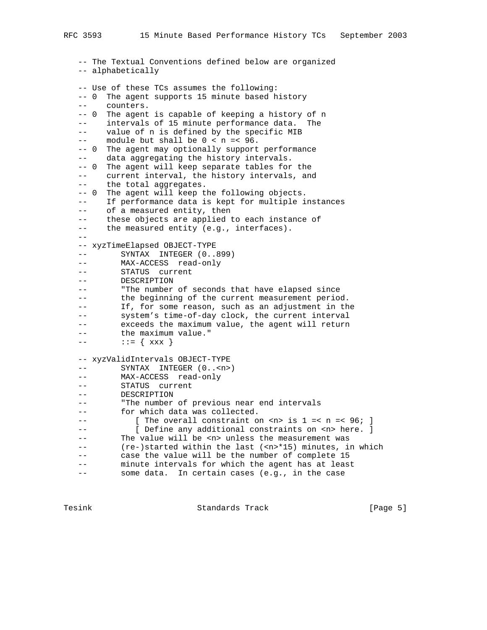-- The Textual Conventions defined below are organized -- alphabetically -- Use of these TCs assumes the following: -- 0 The agent supports 15 minute based history -- counters. -- 0 The agent is capable of keeping a history of n -- intervals of 15 minute performance data. The -- value of n is defined by the specific MIB  $--$  module but shall be  $0 < n = < 96$ . -- 0 The agent may optionally support performance -- data aggregating the history intervals. -- 0 The agent will keep separate tables for the current interval, the history intervals, and the total aggregates. -- 0 The agent will keep the following objects. -- If performance data is kept for multiple instances -- of a measured entity, then -- these objects are applied to each instance of -- the measured entity (e.g., interfaces).  $- -$  -- xyzTimeElapsed OBJECT-TYPE -- SYNTAX INTEGER (0..899) -- MAX-ACCESS read-only -- STATUS current -- DESCRIPTION -- "The number of seconds that have elapsed since -- the beginning of the current measurement period. -- If, for some reason, such as an adjustment in the -- system's time-of-day clock, the current interval -- exceeds the maximum value, the agent will return -- the maximum value."  $---$  ::= {  $xxx$  } -- xyzValidIntervals OBJECT-TYPE -- SYNTAX INTEGER (0..<n>) -- MAX-ACCESS read-only -- STATUS current -- DESCRIPTION -- "The number of previous near end intervals -- for which data was collected. -- [ The overall constraint on <n> is  $1 = < n = < 96$ ; ] -- [ Define any additional constraints on <n> here. ] -- The value will be <n> unless the measurement was -- (re-)started within the last (<n>\*15) minutes, in which -- case the value will be the number of complete 15 -- minute intervals for which the agent has at least -- some data. In certain cases (e.g., in the case

Tesink **Standards Track** Track [Page 5]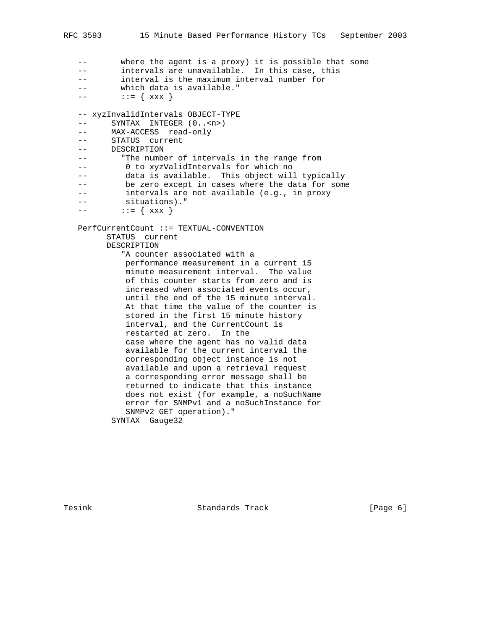-- where the agent is a proxy) it is possible that some -- intervals are unavailable. In this case, this -- interval is the maximum interval number for -- which data is available."  $---$  ::= {  $xxx$  } -- xyzInvalidIntervals OBJECT-TYPE -- SYNTAX INTEGER (0..<n>) -- MAX-ACCESS read-only -- STATUS current -- DESCRIPTION -- "The number of intervals in the range from -- 0 to xyzValidIntervals for which no -- data is available. This object will typically -- be zero except in cases where the data for some -- intervals are not available (e.g., in proxy -- situations)."  $---$  ::= {  $xxx$  } PerfCurrentCount ::= TEXTUAL-CONVENTION STATUS current DESCRIPTION "A counter associated with a performance measurement in a current 15 minute measurement interval. The value of this counter starts from zero and is increased when associated events occur, until the end of the 15 minute interval. At that time the value of the counter is stored in the first 15 minute history interval, and the CurrentCount is restarted at zero. In the case where the agent has no valid data available for the current interval the corresponding object instance is not available and upon a retrieval request a corresponding error message shall be returned to indicate that this instance does not exist (for example, a noSuchName error for SNMPv1 and a noSuchInstance for SNMPv2 GET operation)." SYNTAX Gauge32

Tesink **Standards Track** [Page 6]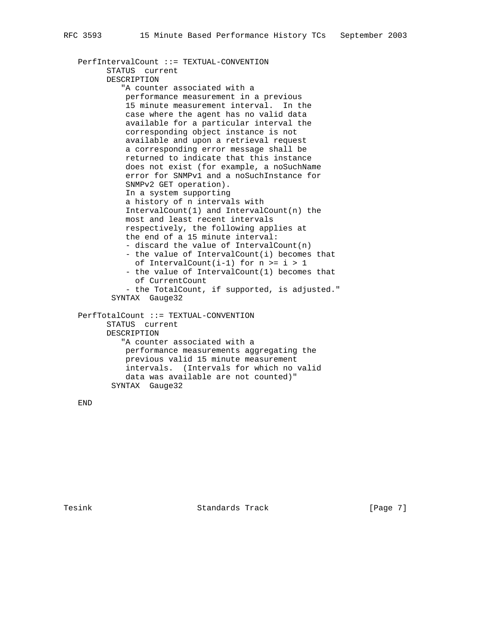```
 PerfIntervalCount ::= TEXTUAL-CONVENTION
       STATUS current
       DESCRIPTION
          "A counter associated with a
           performance measurement in a previous
           15 minute measurement interval. In the
           case where the agent has no valid data
           available for a particular interval the
           corresponding object instance is not
           available and upon a retrieval request
           a corresponding error message shall be
           returned to indicate that this instance
           does not exist (for example, a noSuchName
           error for SNMPv1 and a noSuchInstance for
           SNMPv2 GET operation).
           In a system supporting
           a history of n intervals with
           IntervalCount(1) and IntervalCount(n) the
           most and least recent intervals
           respectively, the following applies at
           the end of a 15 minute interval:
           - discard the value of IntervalCount(n)
           - the value of IntervalCount(i) becomes that
           of IntervalCount(i-1) for n \geq i > 1 - the value of IntervalCount(1) becomes that
             of CurrentCount
           - the TotalCount, if supported, is adjusted."
        SYNTAX Gauge32
 PerfTotalCount ::= TEXTUAL-CONVENTION
       STATUS current
       DESCRIPTION
          "A counter associated with a
           performance measurements aggregating the
           previous valid 15 minute measurement
           intervals. (Intervals for which no valid
           data was available are not counted)"
        SYNTAX Gauge32
```
END

Tesink **Standards Track** [Page 7]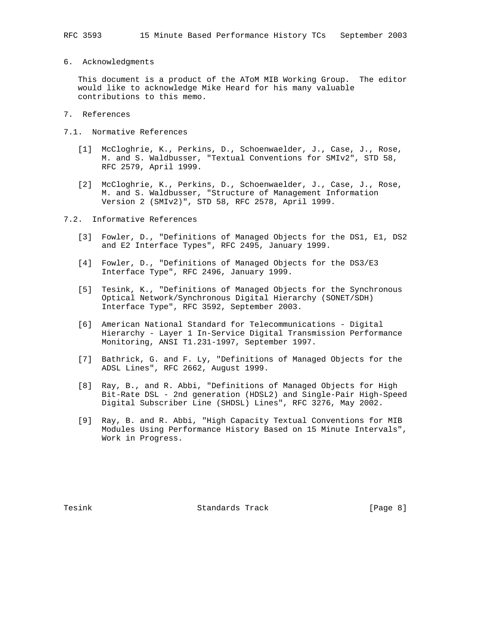6. Acknowledgments

 This document is a product of the AToM MIB Working Group. The editor would like to acknowledge Mike Heard for his many valuable contributions to this memo.

- 7. References
- 7.1. Normative References
	- [1] McCloghrie, K., Perkins, D., Schoenwaelder, J., Case, J., Rose, M. and S. Waldbusser, "Textual Conventions for SMIv2", STD 58, RFC 2579, April 1999.
	- [2] McCloghrie, K., Perkins, D., Schoenwaelder, J., Case, J., Rose, M. and S. Waldbusser, "Structure of Management Information Version 2 (SMIv2)", STD 58, RFC 2578, April 1999.

7.2. Informative References

- [3] Fowler, D., "Definitions of Managed Objects for the DS1, E1, DS2 and E2 Interface Types", RFC 2495, January 1999.
- [4] Fowler, D., "Definitions of Managed Objects for the DS3/E3 Interface Type", RFC 2496, January 1999.
- [5] Tesink, K., "Definitions of Managed Objects for the Synchronous Optical Network/Synchronous Digital Hierarchy (SONET/SDH) Interface Type", RFC 3592, September 2003.
- [6] American National Standard for Telecommunications Digital Hierarchy - Layer 1 In-Service Digital Transmission Performance Monitoring, ANSI T1.231-1997, September 1997.
- [7] Bathrick, G. and F. Ly, "Definitions of Managed Objects for the ADSL Lines", RFC 2662, August 1999.
- [8] Ray, B., and R. Abbi, "Definitions of Managed Objects for High Bit-Rate DSL - 2nd generation (HDSL2) and Single-Pair High-Speed Digital Subscriber Line (SHDSL) Lines", RFC 3276, May 2002.
- [9] Ray, B. and R. Abbi, "High Capacity Textual Conventions for MIB Modules Using Performance History Based on 15 Minute Intervals", Work in Progress.

Tesink **Standards Track** Track [Page 8]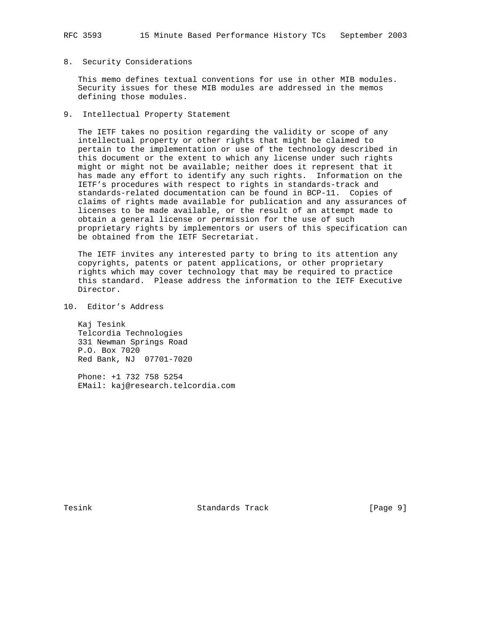## 8. Security Considerations

 This memo defines textual conventions for use in other MIB modules. Security issues for these MIB modules are addressed in the memos defining those modules.

## 9. Intellectual Property Statement

 The IETF takes no position regarding the validity or scope of any intellectual property or other rights that might be claimed to pertain to the implementation or use of the technology described in this document or the extent to which any license under such rights might or might not be available; neither does it represent that it has made any effort to identify any such rights. Information on the IETF's procedures with respect to rights in standards-track and standards-related documentation can be found in BCP-11. Copies of claims of rights made available for publication and any assurances of licenses to be made available, or the result of an attempt made to obtain a general license or permission for the use of such proprietary rights by implementors or users of this specification can be obtained from the IETF Secretariat.

 The IETF invites any interested party to bring to its attention any copyrights, patents or patent applications, or other proprietary rights which may cover technology that may be required to practice this standard. Please address the information to the IETF Executive Director.

10. Editor's Address

 Kaj Tesink Telcordia Technologies 331 Newman Springs Road P.O. Box 7020 Red Bank, NJ 07701-7020

 Phone: +1 732 758 5254 EMail: kaj@research.telcordia.com

Tesink **Standards Track** Track [Page 9]